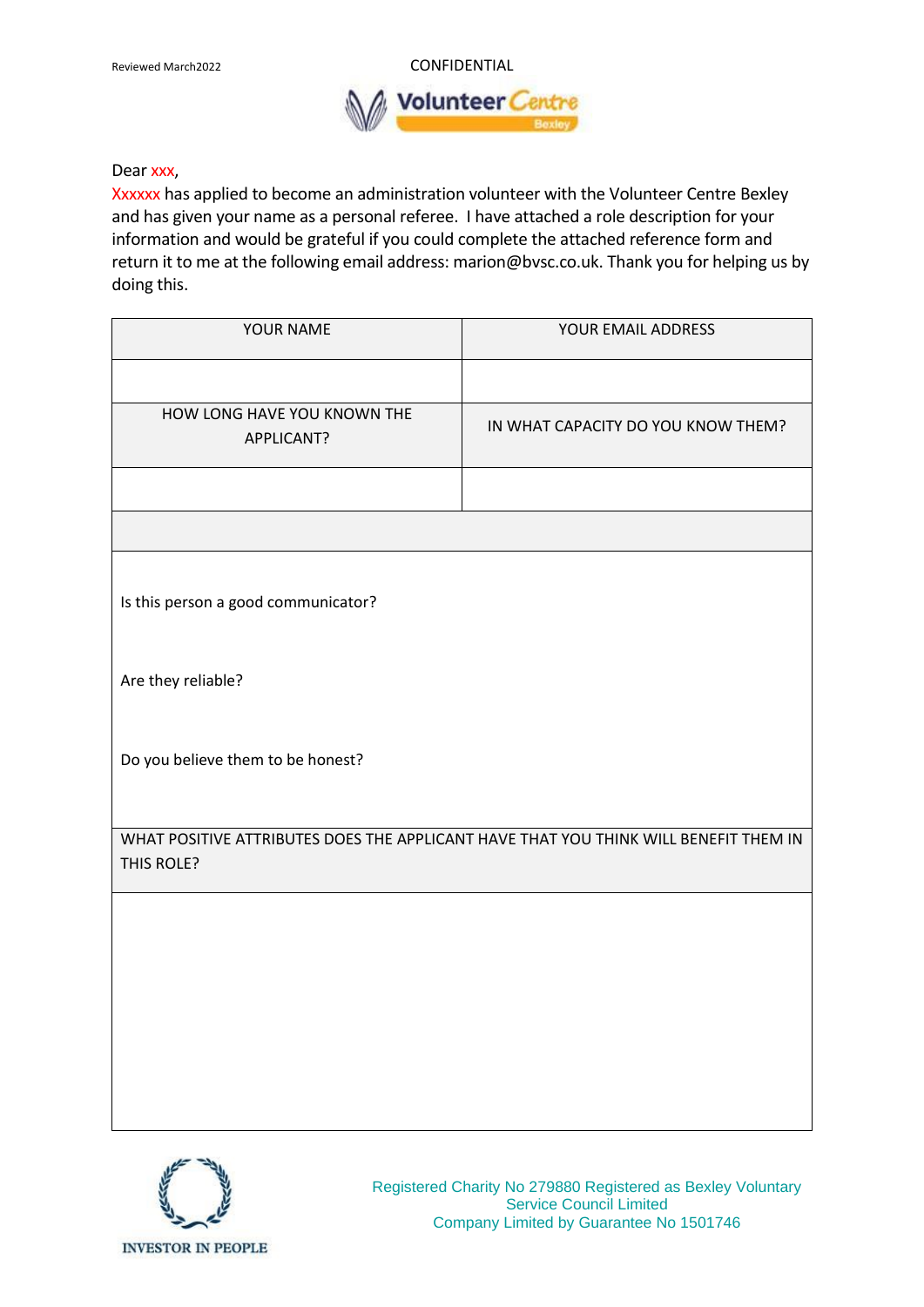Reviewed March2022 **CONFIDENTIAL Volunteer** 

## Dear xxx,

Xxxxxx has applied to become an administration volunteer with the Volunteer Centre Bexley and has given your name as a personal referee. I have attached a role description for your information and would be grateful if you could complete the attached reference form and return it to me at the following email address: marion@bvsc.co.uk. Thank you for helping us by doing this.

| YOUR NAME                                                                                          | YOUR EMAIL ADDRESS                 |
|----------------------------------------------------------------------------------------------------|------------------------------------|
|                                                                                                    |                                    |
| HOW LONG HAVE YOU KNOWN THE<br>APPLICANT?                                                          | IN WHAT CAPACITY DO YOU KNOW THEM? |
|                                                                                                    |                                    |
|                                                                                                    |                                    |
| Is this person a good communicator?                                                                |                                    |
| Are they reliable?                                                                                 |                                    |
| Do you believe them to be honest?                                                                  |                                    |
| WHAT POSITIVE ATTRIBUTES DOES THE APPLICANT HAVE THAT YOU THINK WILL BENEFIT THEM IN<br>THIS ROLE? |                                    |
|                                                                                                    |                                    |
|                                                                                                    |                                    |
|                                                                                                    |                                    |
|                                                                                                    |                                    |
|                                                                                                    |                                    |



Registered Charity No 279880 Registered as Bexley Voluntary Service Council Limited Company Limited by Guarantee No 1501746